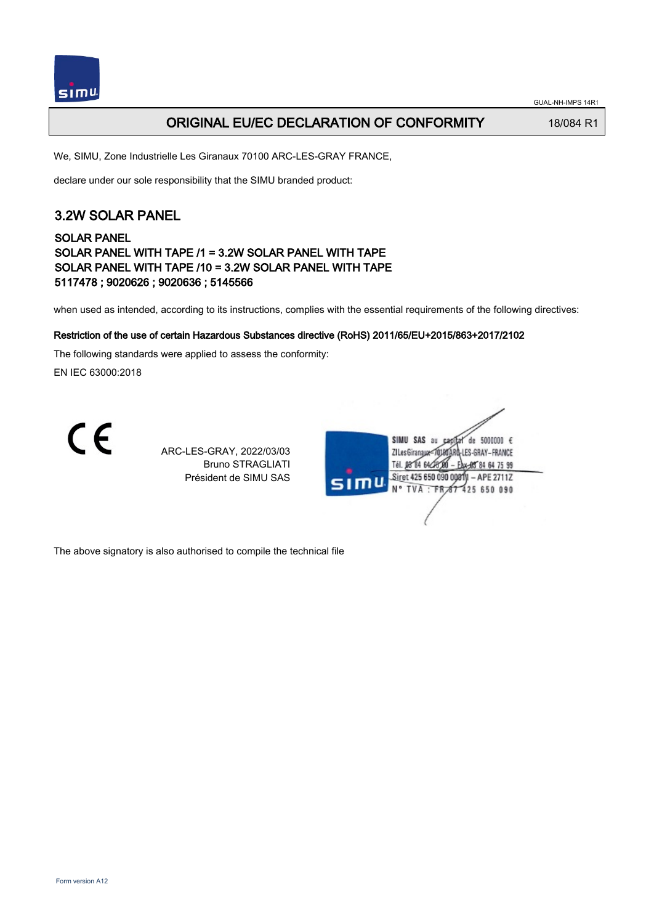

#### ORIGINAL EU/EC DECLARATION OF CONFORMITY 18/084 R1

We, SIMU, Zone Industrielle Les Giranaux 70100 ARC-LES-GRAY FRANCE,

declare under our sole responsibility that the SIMU branded product:

### 3.2W SOLAR PANEL

#### SOLAR PANEL SOLAR PANEL WITH TAPE /1 = 3.2W SOLAR PANEL WITH TAPE SOLAR PANEL WITH TAPE /10 = 3.2W SOLAR PANEL WITH TAPE 5117478 ; 9020626 ; 9020636 ; 5145566

when used as intended, according to its instructions, complies with the essential requirements of the following directives:

#### Restriction of the use of certain Hazardous Substances directive (RoHS) 2011/65/EU+2015/863+2017/2102

The following standards were applied to assess the conformity:

EN IEC 63000:2018

CE

ARC-LES-GRAY, 2022/03/03 Bruno STRAGLIATI Président de SIMU SAS



The above signatory is also authorised to compile the technical file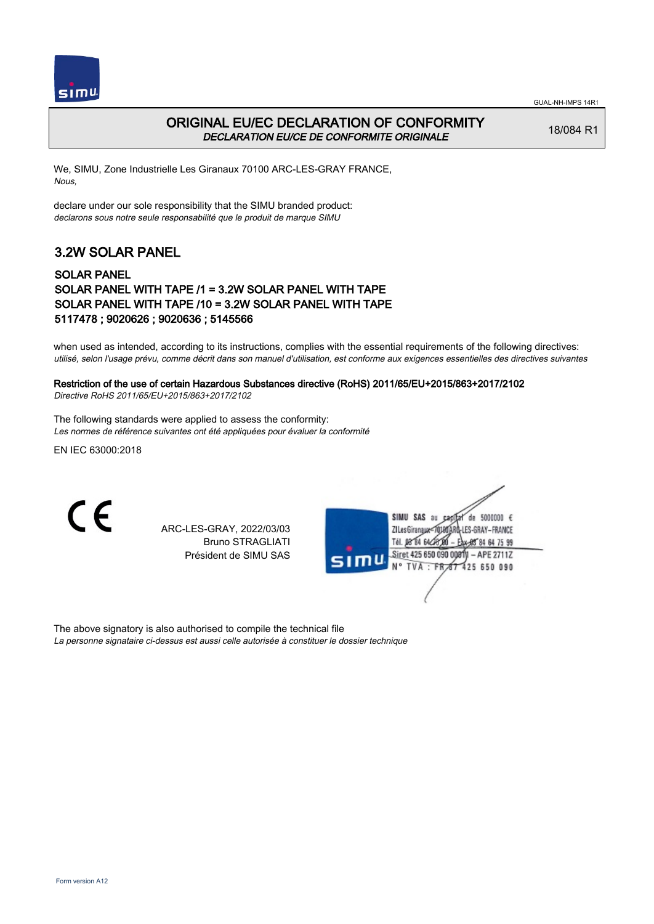



### ORIGINAL EU/EC DECLARATION OF CONFORMITY DECLARATION EU/CE DE CONFORMITE ORIGINALE

18/084 R1

We, SIMU, Zone Industrielle Les Giranaux 70100 ARC-LES-GRAY FRANCE, Nous,

declare under our sole responsibility that the SIMU branded product: declarons sous notre seule responsabilité que le produit de marque SIMU

## 3.2W SOLAR PANEL

#### SOLAR PANEL SOLAR PANEL WITH TAPE /1 = 3.2W SOLAR PANEL WITH TAPE SOLAR PANEL WITH TAPE /10 = 3.2W SOLAR PANEL WITH TAPE 5117478 ; 9020626 ; 9020636 ; 5145566

when used as intended, according to its instructions, complies with the essential requirements of the following directives: utilisé, selon l'usage prévu, comme décrit dans son manuel d'utilisation, est conforme aux exigences essentielles des directives suivantes

# Restriction of the use of certain Hazardous Substances directive (RoHS) 2011/65/EU+2015/863+2017/2102

Directive RoHS 2011/65/EU+2015/863+2017/2102

The following standards were applied to assess the conformity: Les normes de référence suivantes ont été appliquées pour évaluer la conformité

EN IEC 63000:2018

C E

ARC-LES-GRAY, 2022/03/03 Bruno STRAGLIATI Président de SIMU SAS

|      | SIMU SAS<br>de 5000000 $\epsilon$<br>au<br>Ca |
|------|-----------------------------------------------|
|      | LLES-GRAY-FRANCE<br>ZI Les Giranaux-7         |
|      | Tél. 08 84 64 28 0<br>以解84 64 75 99           |
|      | Siret 425 650 090 00811 - APE 2711Z           |
| sımu | N° TVA : FR 67 425 650 090                    |
|      |                                               |
|      |                                               |
|      |                                               |

The above signatory is also authorised to compile the technical file La personne signataire ci-dessus est aussi celle autorisée à constituer le dossier technique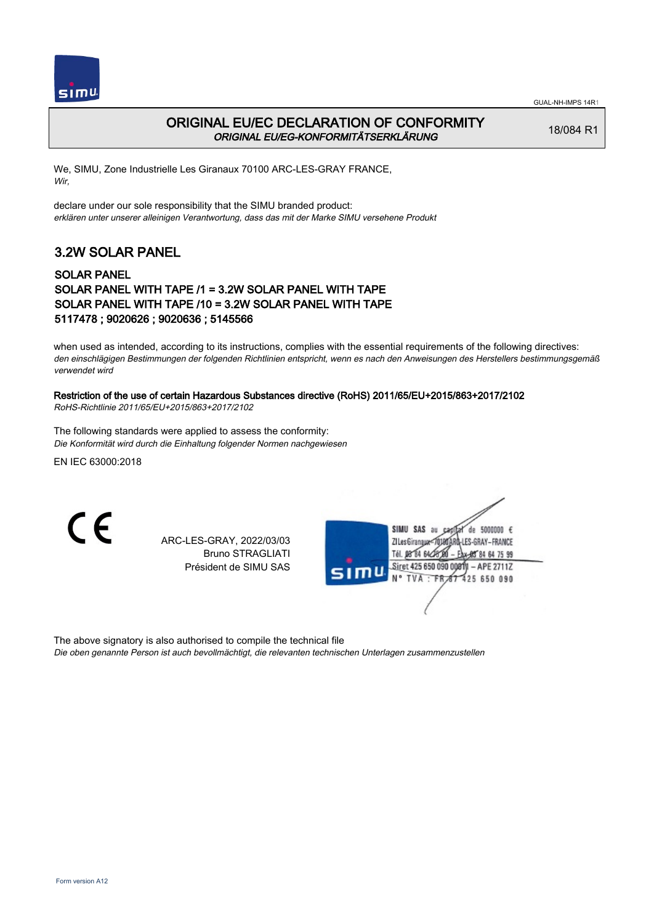



#### ORIGINAL EU/EC DECLARATION OF CONFORMITY ORIGINAL EU/EG-KONFORMITÄTSERKLÄRUNG

18/084 R1

We, SIMU, Zone Industrielle Les Giranaux 70100 ARC-LES-GRAY FRANCE, Wir,

declare under our sole responsibility that the SIMU branded product: erklären unter unserer alleinigen Verantwortung, dass das mit der Marke SIMU versehene Produkt

## 3.2W SOLAR PANEL

#### SOLAR PANEL SOLAR PANEL WITH TAPE /1 = 3.2W SOLAR PANEL WITH TAPE SOLAR PANEL WITH TAPE /10 = 3.2W SOLAR PANEL WITH TAPE 5117478 ; 9020626 ; 9020636 ; 5145566

when used as intended, according to its instructions, complies with the essential requirements of the following directives: den einschlägigen Bestimmungen der folgenden Richtlinien entspricht, wenn es nach den Anweisungen des Herstellers bestimmungsgemäß verwendet wird

#### Restriction of the use of certain Hazardous Substances directive (RoHS) 2011/65/EU+2015/863+2017/2102

RoHS-Richtlinie 2011/65/EU+2015/863+2017/2102

The following standards were applied to assess the conformity: Die Konformität wird durch die Einhaltung folgender Normen nachgewiesen

EN IEC 63000:2018

CE

ARC-LES-GRAY, 2022/03/03 Bruno STRAGLIATI Président de SIMU SAS

| SIMU SAS au<br>5000000 $\epsilon$<br>de<br>ZI Les Giranaux=70180ARD-LES-GRAY-FRANCE |
|-------------------------------------------------------------------------------------|
| Tél. 08 84 64 28 00<br>AX-85 84 64 75 99<br>Siret 425 650 090 00811 - APE 2711Z     |
| SIMU<br>N° TVA : FR 67 425 650 090                                                  |
|                                                                                     |

The above signatory is also authorised to compile the technical file

Die oben genannte Person ist auch bevollmächtigt, die relevanten technischen Unterlagen zusammenzustellen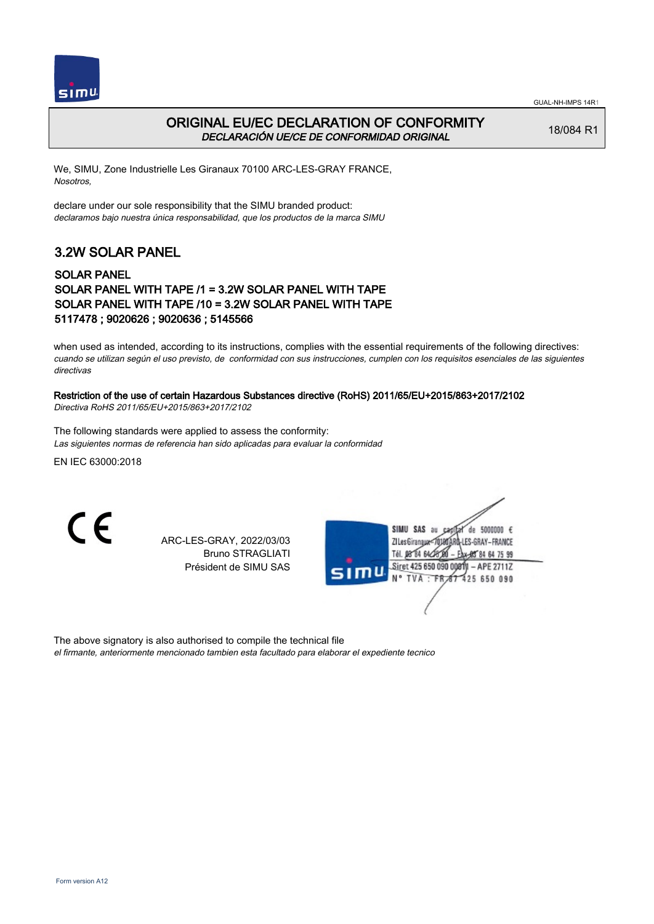



### ORIGINAL EU/EC DECLARATION OF CONFORMITY DECLARACIÓN UE/CE DE CONFORMIDAD ORIGINAL

18/084 R1

We, SIMU, Zone Industrielle Les Giranaux 70100 ARC-LES-GRAY FRANCE, Nosotros,

declare under our sole responsibility that the SIMU branded product: declaramos bajo nuestra única responsabilidad, que los productos de la marca SIMU

# 3.2W SOLAR PANEL

#### SOLAR PANEL SOLAR PANEL WITH TAPE /1 = 3.2W SOLAR PANEL WITH TAPE SOLAR PANEL WITH TAPE /10 = 3.2W SOLAR PANEL WITH TAPE 5117478 ; 9020626 ; 9020636 ; 5145566

when used as intended, according to its instructions, complies with the essential requirements of the following directives: cuando se utilizan según el uso previsto, de conformidad con sus instrucciones, cumplen con los requisitos esenciales de las siguientes directivas

#### Restriction of the use of certain Hazardous Substances directive (RoHS) 2011/65/EU+2015/863+2017/2102

Directiva RoHS 2011/65/EU+2015/863+2017/2102

The following standards were applied to assess the conformity: Las siguientes normas de referencia han sido aplicadas para evaluar la conformidad

EN IEC 63000:2018

CE

ARC-LES-GRAY, 2022/03/03 Bruno STRAGLIATI Président de SIMU SAS

|      | SAS<br>5000000 $\epsilon$<br>SIMU<br>de<br>âu<br>LES-GRAY-FRANCE<br>ZI Les Giranaux<7 |  |
|------|---------------------------------------------------------------------------------------|--|
|      | Tél. 08 84 64 28<br>Eax-85 84 64 75 99                                                |  |
| SIMU | Siret 425 650 090 00811 - APE 2711Z<br>N° TVA : FR 67 425 650 090                     |  |
|      |                                                                                       |  |

The above signatory is also authorised to compile the technical file

el firmante, anteriormente mencionado tambien esta facultado para elaborar el expediente tecnico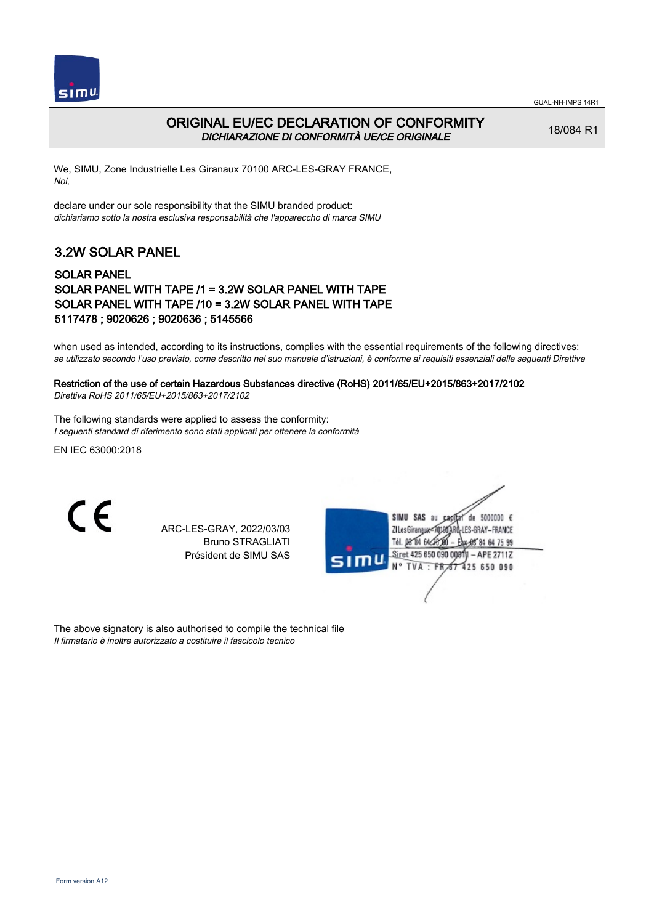



### ORIGINAL EU/EC DECLARATION OF CONFORMITY DICHIARAZIONE DI CONFORMITÀ UE/CE ORIGINALE

18/084 R1

We, SIMU, Zone Industrielle Les Giranaux 70100 ARC-LES-GRAY FRANCE, Noi,

declare under our sole responsibility that the SIMU branded product: dichiariamo sotto la nostra esclusiva responsabilità che l'appareccho di marca SIMU

## 3.2W SOLAR PANEL

#### SOLAR PANEL SOLAR PANEL WITH TAPE /1 = 3.2W SOLAR PANEL WITH TAPE SOLAR PANEL WITH TAPE /10 = 3.2W SOLAR PANEL WITH TAPE 5117478 ; 9020626 ; 9020636 ; 5145566

when used as intended, according to its instructions, complies with the essential requirements of the following directives: se utilizzato secondo l'uso previsto, come descritto nel suo manuale d'istruzioni, è conforme ai requisiti essenziali delle seguenti Direttive

#### Restriction of the use of certain Hazardous Substances directive (RoHS) 2011/65/EU+2015/863+2017/2102 Direttiva RoHS 2011/65/EU+2015/863+2017/2102

The following standards were applied to assess the conformity: I seguenti standard di riferimento sono stati applicati per ottenere la conformità

EN IEC 63000:2018

C E

ARC-LES-GRAY, 2022/03/03 Bruno STRAGLIATI Président de SIMU SAS

|      | SIMU SAS<br>de 5000000 $\epsilon$<br>âu<br><b>Q-LES-GRAY-FRANCE</b><br>ZI Les Giranaux |
|------|----------------------------------------------------------------------------------------|
| SIMU | Tél. 08 84 64 CH<br>1x-85 84 64 75 99<br>Siret 425 650 090 00811<br>$-$ APE 2711Z      |
|      | N° TVA : FR 67 425 650 090                                                             |
|      |                                                                                        |

The above signatory is also authorised to compile the technical file Il firmatario è inoltre autorizzato a costituire il fascicolo tecnico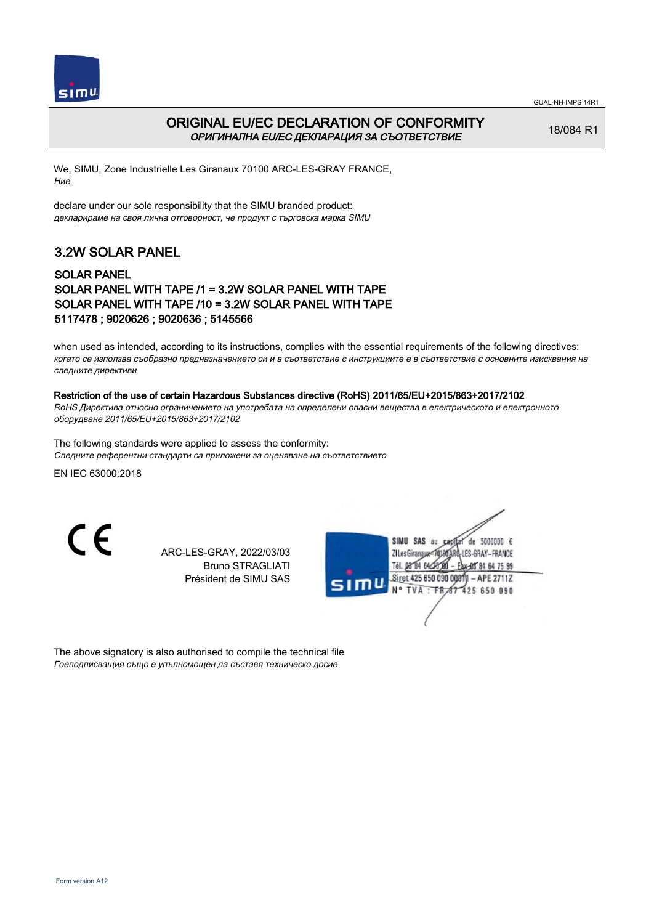



### ORIGINAL EU/EC DECLARATION OF CONFORMITY ОРИГИНАЛНА EU/EC ДЕКЛАРАЦИЯ ЗА СЪОТВЕТСТВИЕ

18/084 R1

We, SIMU, Zone Industrielle Les Giranaux 70100 ARC-LES-GRAY FRANCE, Ние,

declare under our sole responsibility that the SIMU branded product: декларираме на своя лична отговорност, че продукт с търговска марка SIMU

## 3.2W SOLAR PANEL

#### SOLAR PANEL SOLAR PANEL WITH TAPE /1 = 3.2W SOLAR PANEL WITH TAPE SOLAR PANEL WITH TAPE /10 = 3.2W SOLAR PANEL WITH TAPE 5117478 ; 9020626 ; 9020636 ; 5145566

when used as intended, according to its instructions, complies with the essential requirements of the following directives: когато се използва съобразно предназначението си и в съответствие с инструкциите е в съответствие с основните изисквания на следните директиви

#### Restriction of the use of certain Hazardous Substances directive (RoHS) 2011/65/EU+2015/863+2017/2102

RoHS Директива относно ограничението на употребата на определени опасни вещества в електрическото и електронното оборудване 2011/65/EU+2015/863+2017/2102

The following standards were applied to assess the conformity: Следните референтни стандарти са приложени за оценяване на съответствието

EN IEC 63000:2018

 $\epsilon$ 

ARC-LES-GRAY, 2022/03/03 Bruno STRAGLIATI Président de SIMU SAS

|      | SAS<br>de 5000000 $\epsilon$<br>SIMU<br>au<br>Câ<br><b>LES-GRAY-FRANCE</b><br>ZI Les Giranaux< |
|------|------------------------------------------------------------------------------------------------|
|      | Tél. 08 84 64 28 8<br>Ax-85 84 64 75 99                                                        |
| SIMU | Siret 425 650 090 00811<br>$-$ APE 2711Z<br>N° TVA : FR 67 425 650 090                         |
|      |                                                                                                |

The above signatory is also authorised to compile the technical file Гоеподписващия също е упълномощен да съставя техническо досие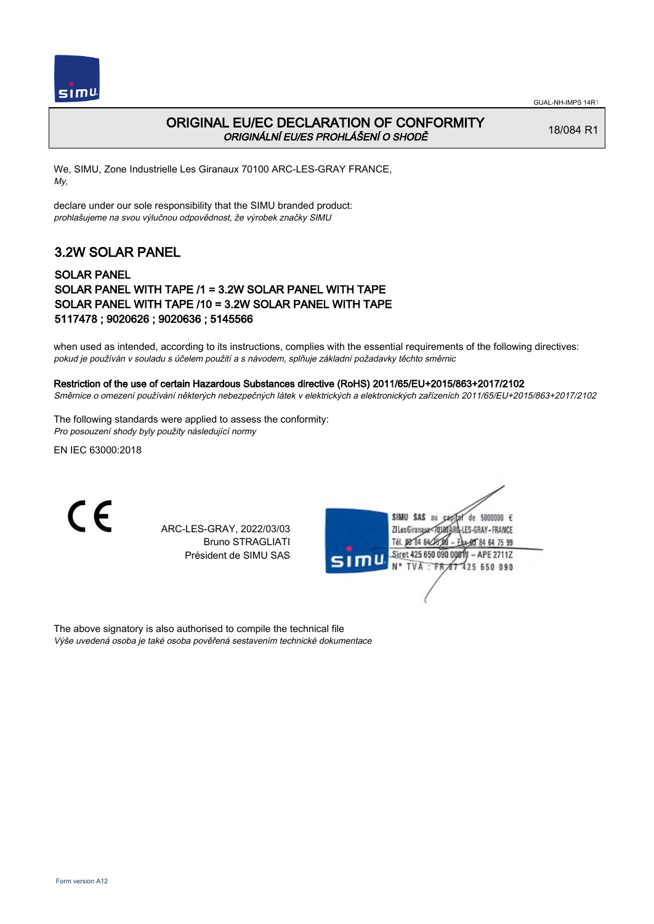

### ORIGINAL EU/EC DECLARATION OF CONFORMITY ORIGINÁLNÍ EU/ES PROHLÁŠENÍ O SHODĚ

18/084 R1

We, SIMU, Zone Industrielle Les Giranaux 70100 ARC-LES-GRAY FRANCE, My,

declare under our sole responsibility that the SIMU branded product: prohlašujeme na svou výlučnou odpovědnost, že výrobek značky SIMU

# 3.2W SOLAR PANEL

#### SOLAR PANEL SOLAR PANEL WITH TAPE /1 = 3.2W SOLAR PANEL WITH TAPE SOLAR PANEL WITH TAPE /10 = 3.2W SOLAR PANEL WITH TAPE 5117478 ; 9020626 ; 9020636 ; 5145566

when used as intended, according to its instructions, complies with the essential requirements of the following directives: pokud je používán v souladu s účelem použití a s návodem, splňuje základní požadavky těchto směrnic

#### Restriction of the use of certain Hazardous Substances directive (RoHS) 2011/65/EU+2015/863+2017/2102

Směrnice o omezení používání některých nebezpečných látek v elektrických a elektronických zařízeních 2011/65/EU+2015/863+2017/2102

The following standards were applied to assess the conformity: Pro posouzení shody byly použity následující normy

EN IEC 63000:2018



ARC-LES-GRAY, 2022/03/03 Bruno STRAGLIATI Président de SIMU SAS

SIMU SAS au de 5000000  $\epsilon$ ZI Les Giranaux</r01 LES-GRAY-FRANCE Tél. 08 84 64 25 64 75 99 Siret 425 650 090 0081 APE 2711Z N° TVA : FR 425 650 090

The above signatory is also authorised to compile the technical file Výše uvedená osoba je také osoba pověřená sestavením technické dokumentace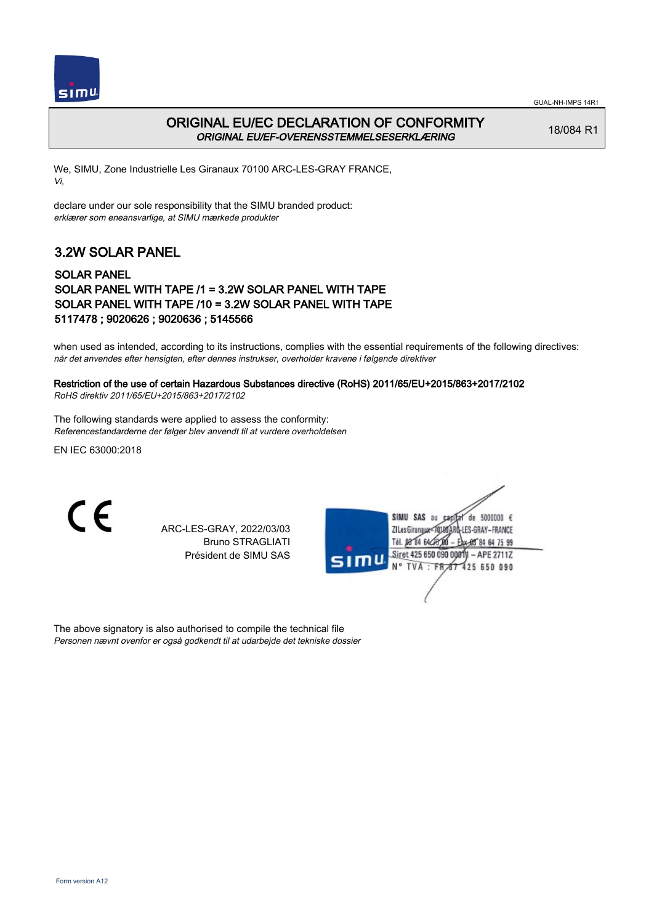



### ORIGINAL EU/EC DECLARATION OF CONFORMITY ORIGINAL EU/EF-OVERENSSTEMMELSESERKLÆRING

18/084 R1

We, SIMU, Zone Industrielle Les Giranaux 70100 ARC-LES-GRAY FRANCE, Vi,

declare under our sole responsibility that the SIMU branded product: erklærer som eneansvarlige, at SIMU mærkede produkter

## 3.2W SOLAR PANEL

#### SOLAR PANEL SOLAR PANEL WITH TAPE /1 = 3.2W SOLAR PANEL WITH TAPE SOLAR PANEL WITH TAPE /10 = 3.2W SOLAR PANEL WITH TAPE 5117478 ; 9020626 ; 9020636 ; 5145566

when used as intended, according to its instructions, complies with the essential requirements of the following directives: når det anvendes efter hensigten, efter dennes instrukser, overholder kravene i følgende direktiver

### Restriction of the use of certain Hazardous Substances directive (RoHS) 2011/65/EU+2015/863+2017/2102

RoHS direktiv 2011/65/EU+2015/863+2017/2102

The following standards were applied to assess the conformity: Referencestandarderne der følger blev anvendt til at vurdere overholdelsen

EN IEC 63000:2018

 $\epsilon$ 

ARC-LES-GRAY, 2022/03/03 Bruno STRAGLIATI Président de SIMU SAS

|      | SAS<br>de 5000000 $\epsilon$<br>SIMU<br>au<br>Cad<br><b>LES-GRAY-FRANCE</b><br>ZI Les Giranaux-7<br>Tél. 08 84 64 28 01<br>Eax-85 84 64 75 99 |
|------|-----------------------------------------------------------------------------------------------------------------------------------------------|
| SIMU | N° TVA : FR 67 425 650 090                                                                                                                    |
|      | Siret 425 650 090 00811 - APE 2711Z                                                                                                           |

The above signatory is also authorised to compile the technical file Personen nævnt ovenfor er også godkendt til at udarbejde det tekniske dossier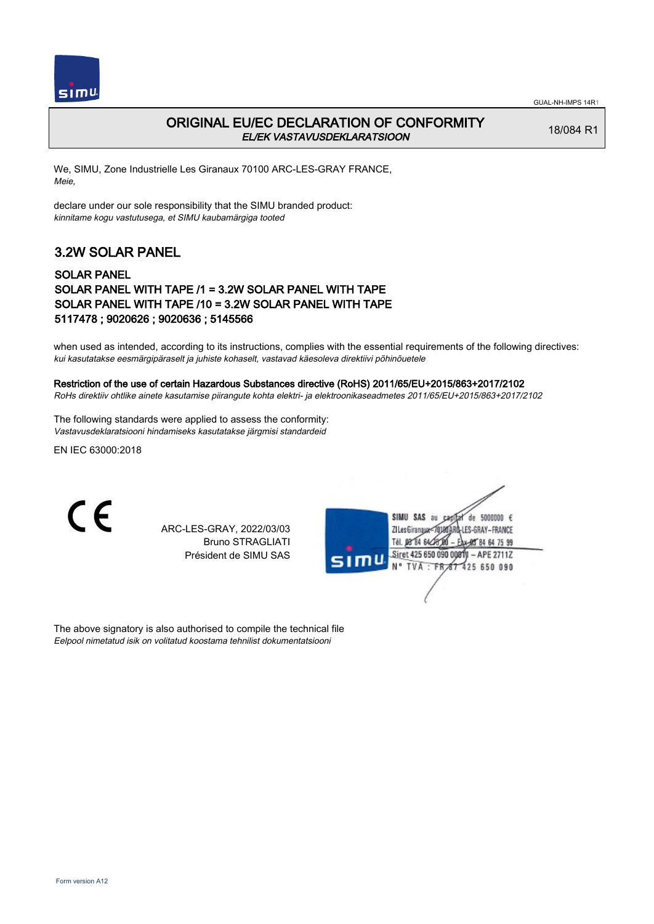

### ORIGINAL EU/EC DECLARATION OF CONFORMITY EL/EK VASTAVUSDEKLARATSIOON

18/084 R1

We, SIMU, Zone Industrielle Les Giranaux 70100 ARC-LES-GRAY FRANCE, Meie,

declare under our sole responsibility that the SIMU branded product: kinnitame kogu vastutusega, et SIMU kaubamärgiga tooted

# 3.2W SOLAR PANEL

#### SOLAR PANEL SOLAR PANEL WITH TAPE /1 = 3.2W SOLAR PANEL WITH TAPE SOLAR PANEL WITH TAPE /10 = 3.2W SOLAR PANEL WITH TAPE 5117478 ; 9020626 ; 9020636 ; 5145566

when used as intended, according to its instructions, complies with the essential requirements of the following directives: kui kasutatakse eesmärgipäraselt ja juhiste kohaselt, vastavad käesoleva direktiivi põhinõuetele

#### Restriction of the use of certain Hazardous Substances directive (RoHS) 2011/65/EU+2015/863+2017/2102

RoHs direktiiv ohtlike ainete kasutamise piirangute kohta elektri- ja elektroonikaseadmetes 2011/65/EU+2015/863+2017/2102

The following standards were applied to assess the conformity: Vastavusdeklaratsiooni hindamiseks kasutatakse järgmisi standardeid

EN IEC 63000:2018



ARC-LES-GRAY, 2022/03/03 Bruno STRAGLIATI Président de SIMU SAS

| SIMU SAS au<br>de 5000000 $\epsilon$<br>Ca<br>ZI Les Giranaux180ARD-LES-GRAY – FRANCE<br>Tél. 08 84 64<br>EAX-985 84 64 75 99 |
|-------------------------------------------------------------------------------------------------------------------------------|
| Siret 425 650 090 00811 - APE 2711Z<br>SIMU<br>N° TVA : FR 67 425 650 090                                                     |
|                                                                                                                               |

The above signatory is also authorised to compile the technical file Eelpool nimetatud isik on volitatud koostama tehnilist dokumentatsiooni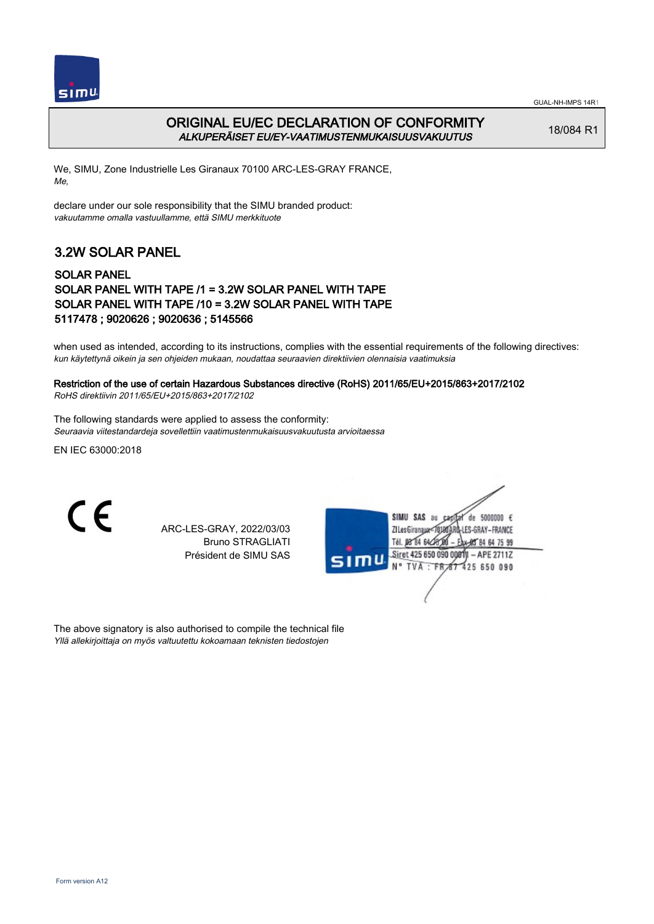



### ORIGINAL EU/EC DECLARATION OF CONFORMITY ALKUPERÄISET EU/EY-VAATIMUSTENMUKAISUUSVAKUUTUS

18/084 R1

We, SIMU, Zone Industrielle Les Giranaux 70100 ARC-LES-GRAY FRANCE, Me,

declare under our sole responsibility that the SIMU branded product: vakuutamme omalla vastuullamme, että SIMU merkkituote

## 3.2W SOLAR PANEL

#### SOLAR PANEL SOLAR PANEL WITH TAPE /1 = 3.2W SOLAR PANEL WITH TAPE SOLAR PANEL WITH TAPE /10 = 3.2W SOLAR PANEL WITH TAPE 5117478 ; 9020626 ; 9020636 ; 5145566

when used as intended, according to its instructions, complies with the essential requirements of the following directives: kun käytettynä oikein ja sen ohjeiden mukaan, noudattaa seuraavien direktiivien olennaisia vaatimuksia

### Restriction of the use of certain Hazardous Substances directive (RoHS) 2011/65/EU+2015/863+2017/2102

RoHS direktiivin 2011/65/EU+2015/863+2017/2102

The following standards were applied to assess the conformity: Seuraavia viitestandardeja sovellettiin vaatimustenmukaisuusvakuutusta arvioitaessa

EN IEC 63000:2018

 $\epsilon$ 

ARC-LES-GRAY, 2022/03/03 Bruno STRAGLIATI Président de SIMU SAS

| SIMU SAS<br>de 5000000 $\epsilon$<br>âu<br>cа<br>ARĜ-LES-GRAY – FRANCE<br>ZI Les GiranauxTél. 08 84 64 28<br>Ax-85 84 64 75 99 |  |
|--------------------------------------------------------------------------------------------------------------------------------|--|
| Siret 425 650 090 00811 - APE 2711Z<br>SIMU<br>N° TVA : FR 67 425 650 090                                                      |  |
|                                                                                                                                |  |

The above signatory is also authorised to compile the technical file Yllä allekirjoittaja on myös valtuutettu kokoamaan teknisten tiedostojen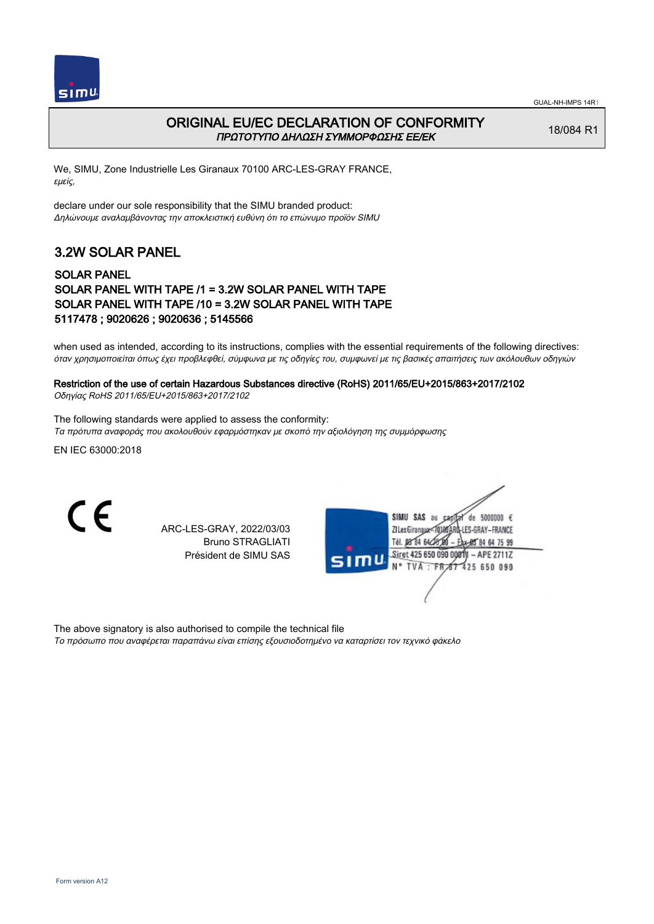



### ORIGINAL EU/EC DECLARATION OF CONFORMITY ΠΡΩΤΟΤΥΠΟ ΔΗΛΩΣΗ ΣΥΜΜΟΡΦΩΣΗΣ ΕΕ/EK

18/084 R1

We, SIMU, Zone Industrielle Les Giranaux 70100 ARC-LES-GRAY FRANCE, εμείς,

declare under our sole responsibility that the SIMU branded product: Δηλώνουμε αναλαμβάνοντας την αποκλειστική ευθύνη ότι το επώνυμο προϊόν SIMU

## 3.2W SOLAR PANEL

#### SOLAR PANEL SOLAR PANEL WITH TAPE /1 = 3.2W SOLAR PANEL WITH TAPE SOLAR PANEL WITH TAPE /10 = 3.2W SOLAR PANEL WITH TAPE 5117478 ; 9020626 ; 9020636 ; 5145566

when used as intended, according to its instructions, complies with the essential requirements of the following directives: όταν χρησιμοποιείται όπως έχει προβλεφθεί, σύμφωνα με τις οδηγίες του, συμφωνεί με τις βασικές απαιτήσεις των ακόλουθων οδηγιών

# Restriction of the use of certain Hazardous Substances directive (RoHS) 2011/65/EU+2015/863+2017/2102

Οδηγίας RoHS 2011/65/EU+2015/863+2017/2102

The following standards were applied to assess the conformity: Τα πρότυπα αναφοράς που ακολουθούν εφαρμόστηκαν με σκοπό την αξιολόγηση της συμμόρφωσης

EN IEC 63000:2018

C E

ARC-LES-GRAY, 2022/03/03 Bruno STRAGLIATI Président de SIMU SAS



The above signatory is also authorised to compile the technical file

Το πρόσωπο που αναφέρεται παραπάνω είναι επίσης εξουσιοδοτημένο να καταρτίσει τον τεχνικό φάκελο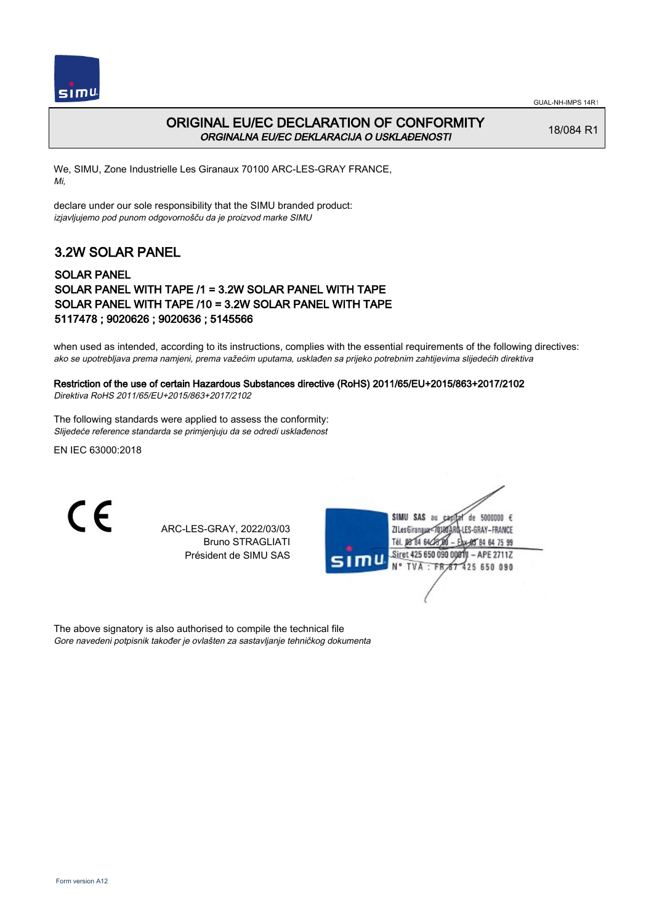



### ORIGINAL EU/EC DECLARATION OF CONFORMITY ORGINALNA EU/EC DEKLARACIJA O USKLAĐENOSTI

18/084 R1

We, SIMU, Zone Industrielle Les Giranaux 70100 ARC-LES-GRAY FRANCE, Mi,

declare under our sole responsibility that the SIMU branded product: izjavljujemo pod punom odgovornošču da je proizvod marke SIMU

# 3.2W SOLAR PANEL

#### SOLAR PANEL SOLAR PANEL WITH TAPE /1 = 3.2W SOLAR PANEL WITH TAPE SOLAR PANEL WITH TAPE /10 = 3.2W SOLAR PANEL WITH TAPE 5117478 ; 9020626 ; 9020636 ; 5145566

when used as intended, according to its instructions, complies with the essential requirements of the following directives: ako se upotrebljava prema namjeni, prema važećim uputama, usklađen sa prijeko potrebnim zahtijevima slijedećih direktiva

#### Restriction of the use of certain Hazardous Substances directive (RoHS) 2011/65/EU+2015/863+2017/2102 Direktiva RoHS 2011/65/EU+2015/863+2017/2102

The following standards were applied to assess the conformity: Slijedeće reference standarda se primjenjuju da se odredi usklađenost

EN IEC 63000:2018

 $\epsilon$ 

ARC-LES-GRAY, 2022/03/03 Bruno STRAGLIATI Président de SIMU SAS

|      | SIMU SAS<br>de 5000000 $\epsilon$<br>au<br>Cad |
|------|------------------------------------------------|
|      | <b>LES-GRAY-FRANCE</b><br>ZI Les Giranaux      |
|      | Tél. 08 84 64 28<br>Eax-95 84 64 75 99         |
|      | Siret 425 650 090 00811 - APE 2711Z            |
| SIMU | N° TVA : FR 67 425 650 090                     |
|      |                                                |
|      |                                                |
|      |                                                |

The above signatory is also authorised to compile the technical file Gore navedeni potpisnik također je ovlašten za sastavljanje tehničkog dokumenta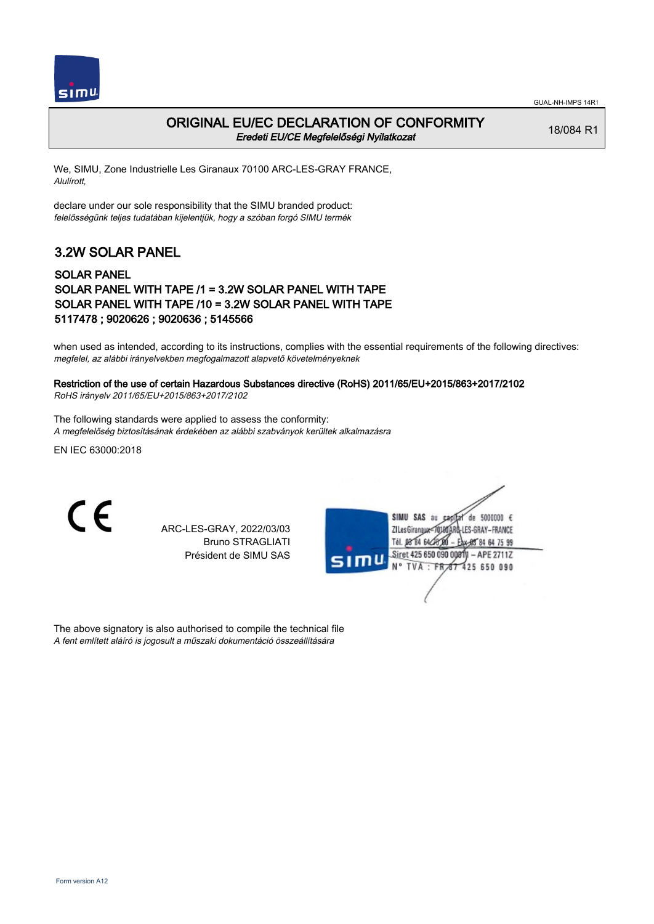

#### ORIGINAL EU/EC DECLARATION OF CONFORMITY Eredeti EU/CE Megfelelőségi Nyilatkozat

18/084 R1

We, SIMU, Zone Industrielle Les Giranaux 70100 ARC-LES-GRAY FRANCE, Alulírott,

declare under our sole responsibility that the SIMU branded product: felelősségünk teljes tudatában kijelentjük, hogy a szóban forgó SIMU termék

# 3.2W SOLAR PANEL

#### SOLAR PANEL SOLAR PANEL WITH TAPE /1 = 3.2W SOLAR PANEL WITH TAPE SOLAR PANEL WITH TAPE /10 = 3.2W SOLAR PANEL WITH TAPE 5117478 ; 9020626 ; 9020636 ; 5145566

when used as intended, according to its instructions, complies with the essential requirements of the following directives: megfelel, az alábbi irányelvekben megfogalmazott alapvető követelményeknek

#### Restriction of the use of certain Hazardous Substances directive (RoHS) 2011/65/EU+2015/863+2017/2102

RoHS irányelv 2011/65/EU+2015/863+2017/2102

The following standards were applied to assess the conformity: A megfelelőség biztosításának érdekében az alábbi szabványok kerültek alkalmazásra

EN IEC 63000:2018

C E

ARC-LES-GRAY, 2022/03/03 Bruno STRAGLIATI Président de SIMU SAS

|      | SIMU SAS<br>de 5000000 $\epsilon$<br>âu<br>ZI Les Giranaux180 ARD-LES-GRAY – FRANCE<br>Tél. 08 84 64 28 00<br>* 财 84 64 75 99 |
|------|-------------------------------------------------------------------------------------------------------------------------------|
| SIMU | Siret 425 650 090 00811 - APE 2711Z<br>N° TVA : FR 67 425 650 090                                                             |
|      |                                                                                                                               |

The above signatory is also authorised to compile the technical file A fent említett aláíró is jogosult a műszaki dokumentáció összeállítására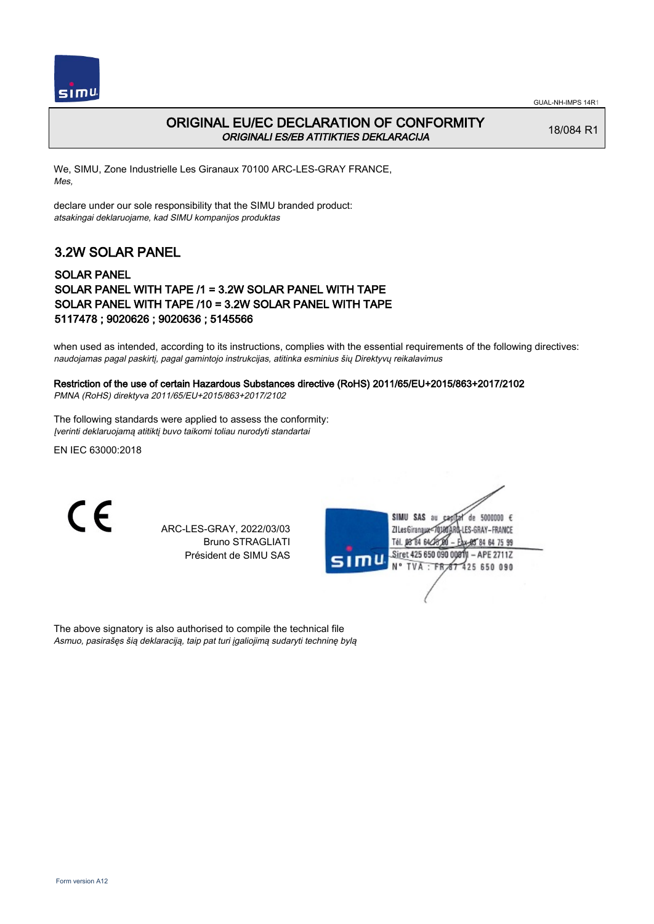



#### ORIGINAL EU/EC DECLARATION OF CONFORMITY ORIGINALI ES/EB ATITIKTIES DEKLARACIJA

18/084 R1

We, SIMU, Zone Industrielle Les Giranaux 70100 ARC-LES-GRAY FRANCE, Mes,

declare under our sole responsibility that the SIMU branded product: atsakingai deklaruojame, kad SIMU kompanijos produktas

## 3.2W SOLAR PANEL

#### SOLAR PANEL SOLAR PANEL WITH TAPE /1 = 3.2W SOLAR PANEL WITH TAPE SOLAR PANEL WITH TAPE /10 = 3.2W SOLAR PANEL WITH TAPE 5117478 ; 9020626 ; 9020636 ; 5145566

when used as intended, according to its instructions, complies with the essential requirements of the following directives: naudojamas pagal paskirtį, pagal gamintojo instrukcijas, atitinka esminius šių Direktyvų reikalavimus

# Restriction of the use of certain Hazardous Substances directive (RoHS) 2011/65/EU+2015/863+2017/2102

PMNA (RoHS) direktyva 2011/65/EU+2015/863+2017/2102

The following standards were applied to assess the conformity: Įverinti deklaruojamą atitiktį buvo taikomi toliau nurodyti standartai

EN IEC 63000:2018

C E

ARC-LES-GRAY, 2022/03/03 Bruno STRAGLIATI Président de SIMU SAS

|      | SIMU SAS<br>de 5000000 $\epsilon$<br>âu<br>1-LES-GRAY-FRANCE<br>ZI Les Giranaux |
|------|---------------------------------------------------------------------------------|
| SIMU | Tél. 08 84 646<br>* 船 84 64 75 99<br>Siret 425 650 090 00811 - APE 2711Z        |
|      | N° TVA : FR 67 425 650 090                                                      |
|      |                                                                                 |

The above signatory is also authorised to compile the technical file Asmuo, pasirašęs šią deklaraciją, taip pat turi įgaliojimą sudaryti techninę bylą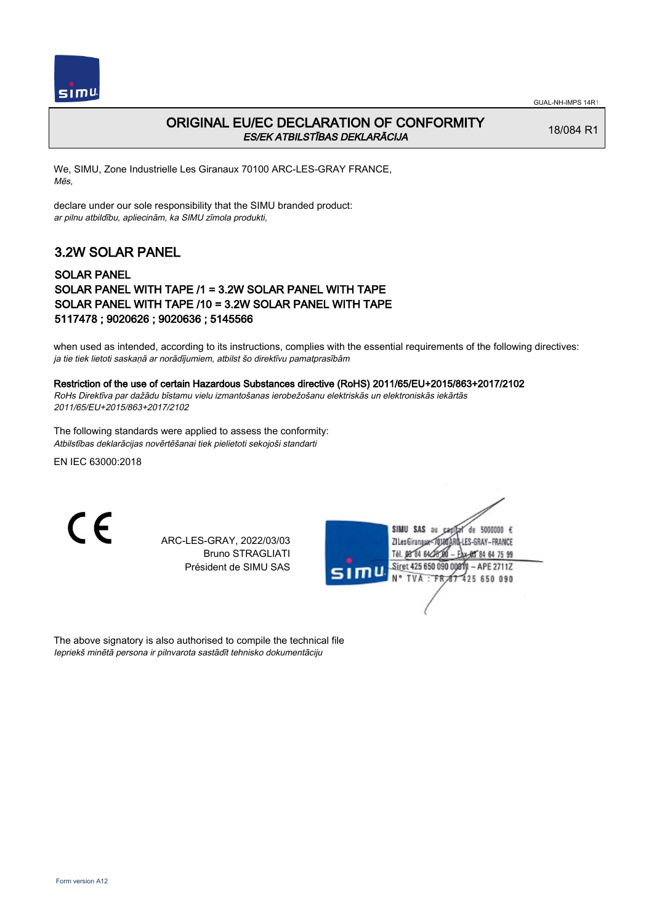

### ORIGINAL EU/EC DECLARATION OF CONFORMITY ES/EK ATBILSTĪBAS DEKLARĀCIJA

18/084 R1

We, SIMU, Zone Industrielle Les Giranaux 70100 ARC-LES-GRAY FRANCE, Mēs,

declare under our sole responsibility that the SIMU branded product: ar pilnu atbildību, apliecinām, ka SIMU zīmola produkti,

# 3.2W SOLAR PANEL

#### SOLAR PANEL SOLAR PANEL WITH TAPE /1 = 3.2W SOLAR PANEL WITH TAPE SOLAR PANEL WITH TAPE /10 = 3.2W SOLAR PANEL WITH TAPE 5117478 ; 9020626 ; 9020636 ; 5145566

when used as intended, according to its instructions, complies with the essential requirements of the following directives: ja tie tiek lietoti saskaņā ar norādījumiem, atbilst šo direktīvu pamatprasībām

#### Restriction of the use of certain Hazardous Substances directive (RoHS) 2011/65/EU+2015/863+2017/2102

RoHs Direktīva par dažādu bīstamu vielu izmantošanas ierobežošanu elektriskās un elektroniskās iekārtās 2011/65/EU+2015/863+2017/2102

The following standards were applied to assess the conformity: Atbilstības deklarācijas novērtēšanai tiek pielietoti sekojoši standarti

EN IEC 63000:2018

CE

ARC-LES-GRAY, 2022/03/03 Bruno STRAGLIATI Président de SIMU SAS

|      | SIMU SAS<br>de 5000000 $\epsilon$<br>au      |
|------|----------------------------------------------|
|      | <b>LLES-GRAY-FRANCE</b><br>ZI Les Giranaux-7 |
|      | Tél. 08 84 64 28 20<br>- Eax-85 84 64 75 99  |
| sımu | Siret 425 650 090 00811 - APE 2711Z          |
|      | N° TVA : FR 67 425 650 090                   |

The above signatory is also authorised to compile the technical file Iepriekš minētā persona ir pilnvarota sastādīt tehnisko dokumentāciju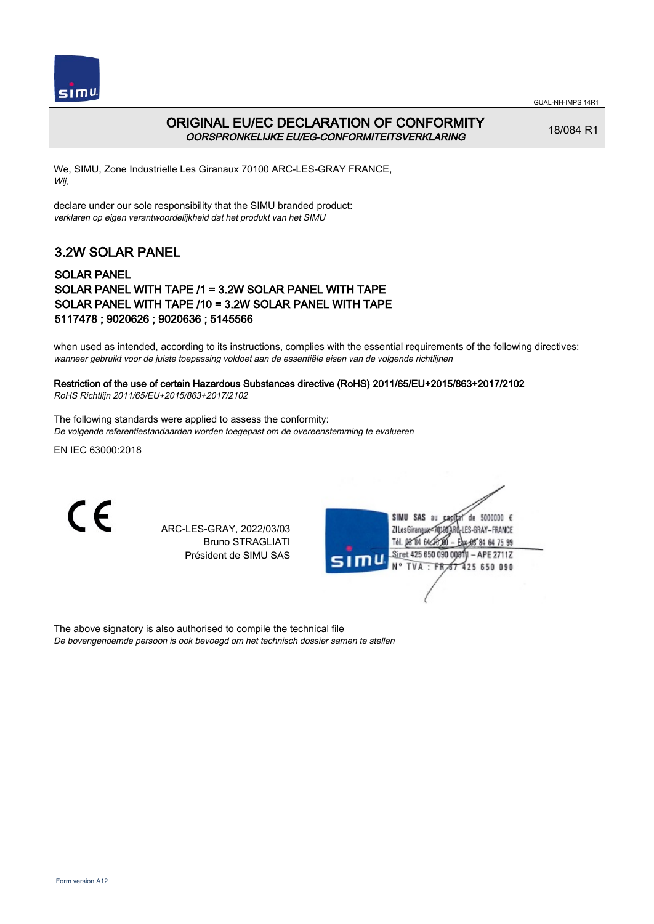



#### ORIGINAL EU/EC DECLARATION OF CONFORMITY OORSPRONKELIJKE EU/EG-CONFORMITEITSVERKLARING

18/084 R1

We, SIMU, Zone Industrielle Les Giranaux 70100 ARC-LES-GRAY FRANCE, Wij,

declare under our sole responsibility that the SIMU branded product: verklaren op eigen verantwoordelijkheid dat het produkt van het SIMU

## 3.2W SOLAR PANEL

#### SOLAR PANEL SOLAR PANEL WITH TAPE /1 = 3.2W SOLAR PANEL WITH TAPE SOLAR PANEL WITH TAPE /10 = 3.2W SOLAR PANEL WITH TAPE 5117478 ; 9020626 ; 9020636 ; 5145566

when used as intended, according to its instructions, complies with the essential requirements of the following directives: wanneer gebruikt voor de juiste toepassing voldoet aan de essentiële eisen van de volgende richtlijnen

### Restriction of the use of certain Hazardous Substances directive (RoHS) 2011/65/EU+2015/863+2017/2102

RoHS Richtlijn 2011/65/EU+2015/863+2017/2102

The following standards were applied to assess the conformity: De volgende referentiestandaarden worden toegepast om de overeenstemming te evalueren

EN IEC 63000:2018

C E

ARC-LES-GRAY, 2022/03/03 Bruno STRAGLIATI Président de SIMU SAS



The above signatory is also authorised to compile the technical file De bovengenoemde persoon is ook bevoegd om het technisch dossier samen te stellen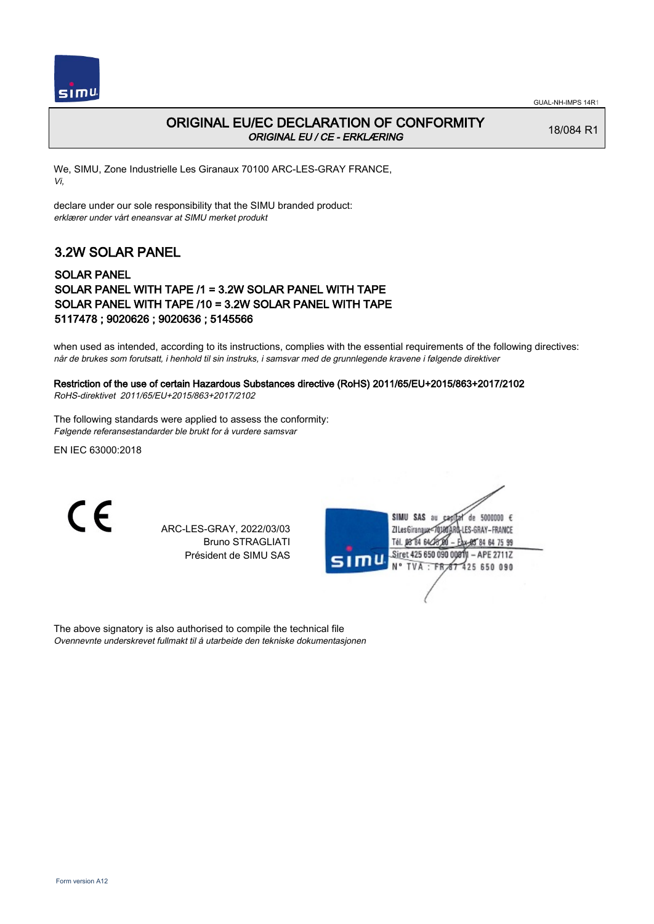

### ORIGINAL EU/EC DECLARATION OF CONFORMITY ORIGINAL EU / CE - ERKLÆRING

18/084 R1

We, SIMU, Zone Industrielle Les Giranaux 70100 ARC-LES-GRAY FRANCE, Vi,

declare under our sole responsibility that the SIMU branded product: erklærer under vårt eneansvar at SIMU merket produkt

# 3.2W SOLAR PANEL

#### SOLAR PANEL SOLAR PANEL WITH TAPE /1 = 3.2W SOLAR PANEL WITH TAPE SOLAR PANEL WITH TAPE /10 = 3.2W SOLAR PANEL WITH TAPE 5117478 ; 9020626 ; 9020636 ; 5145566

when used as intended, according to its instructions, complies with the essential requirements of the following directives: når de brukes som forutsatt, i henhold til sin instruks, i samsvar med de grunnlegende kravene i følgende direktiver

# Restriction of the use of certain Hazardous Substances directive (RoHS) 2011/65/EU+2015/863+2017/2102

RoHS-direktivet 2011/65/EU+2015/863+2017/2102

The following standards were applied to assess the conformity: Følgende referansestandarder ble brukt for å vurdere samsvar

EN IEC 63000:2018

C E

ARC-LES-GRAY, 2022/03/03 Bruno STRAGLIATI Président de SIMU SAS



The above signatory is also authorised to compile the technical file Ovennevnte underskrevet fullmakt til å utarbeide den tekniske dokumentasjonen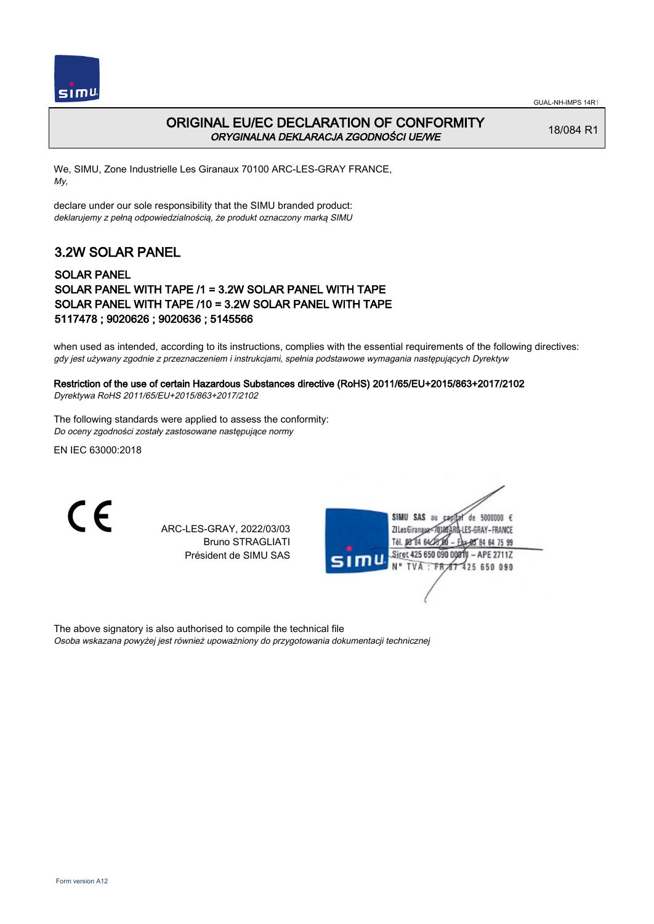



### ORIGINAL EU/EC DECLARATION OF CONFORMITY ORYGINALNA DEKLARACJA ZGODNOŚCI UE/WE

18/084 R1

We, SIMU, Zone Industrielle Les Giranaux 70100 ARC-LES-GRAY FRANCE, My,

declare under our sole responsibility that the SIMU branded product: deklarujemy z pełną odpowiedzialnością, że produkt oznaczony marką SIMU

# 3.2W SOLAR PANEL

#### SOLAR PANEL SOLAR PANEL WITH TAPE /1 = 3.2W SOLAR PANEL WITH TAPE SOLAR PANEL WITH TAPE /10 = 3.2W SOLAR PANEL WITH TAPE 5117478 ; 9020626 ; 9020636 ; 5145566

when used as intended, according to its instructions, complies with the essential requirements of the following directives: gdy jest używany zgodnie z przeznaczeniem i instrukcjami, spełnia podstawowe wymagania następujących Dyrektyw

# Restriction of the use of certain Hazardous Substances directive (RoHS) 2011/65/EU+2015/863+2017/2102

Dyrektywa RoHS 2011/65/EU+2015/863+2017/2102

The following standards were applied to assess the conformity: Do oceny zgodności zostały zastosowane następujące normy

EN IEC 63000:2018

C E

ARC-LES-GRAY, 2022/03/03 Bruno STRAGLIATI Président de SIMU SAS

|      | de 5000000 $\epsilon$<br>SIMU SAS au<br>Cad   |  |
|------|-----------------------------------------------|--|
|      | <b>G-LES-GRAY-FRANCE</b><br>ZI Les Giranaux-7 |  |
|      | Tél. 08 84 64 28 0<br>Eax-85 84 64 75 99      |  |
| sımu | Siret 425 650 090 00811 - APE 2711Z           |  |
|      | N° TVA : FR 67 425 650 090                    |  |
|      |                                               |  |
|      |                                               |  |

The above signatory is also authorised to compile the technical file Osoba wskazana powyżej jest również upoważniony do przygotowania dokumentacji technicznej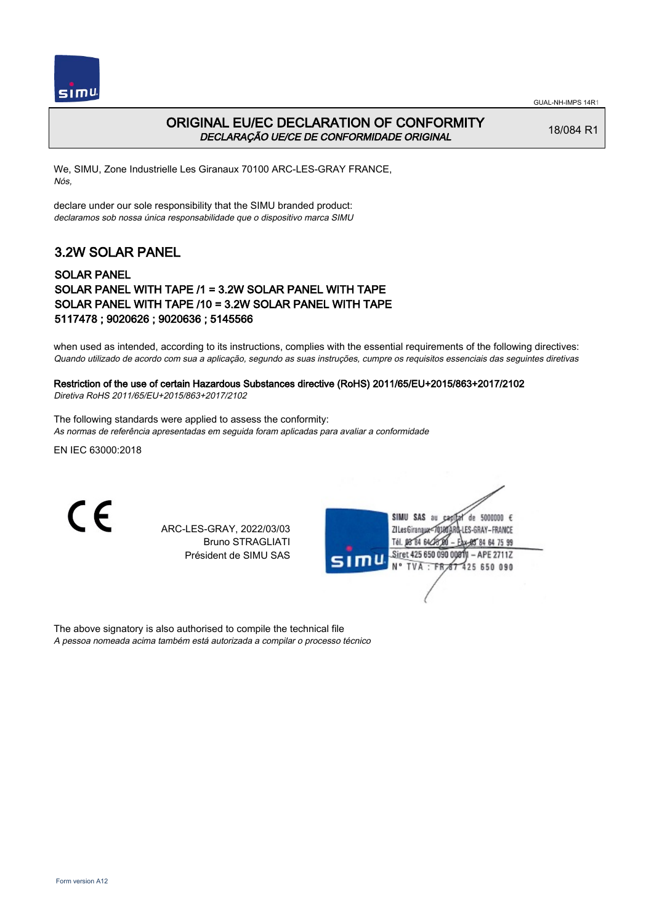



### ORIGINAL EU/EC DECLARATION OF CONFORMITY DECLARAÇÃO UE/CE DE CONFORMIDADE ORIGINAL

18/084 R1

We, SIMU, Zone Industrielle Les Giranaux 70100 ARC-LES-GRAY FRANCE, Nós,

declare under our sole responsibility that the SIMU branded product: declaramos sob nossa única responsabilidade que o dispositivo marca SIMU

# 3.2W SOLAR PANEL

#### SOLAR PANEL SOLAR PANEL WITH TAPE /1 = 3.2W SOLAR PANEL WITH TAPE SOLAR PANEL WITH TAPE /10 = 3.2W SOLAR PANEL WITH TAPE 5117478 ; 9020626 ; 9020636 ; 5145566

when used as intended, according to its instructions, complies with the essential requirements of the following directives: Quando utilizado de acordo com sua a aplicação, segundo as suas instruções, cumpre os requisitos essenciais das seguintes diretivas

### Restriction of the use of certain Hazardous Substances directive (RoHS) 2011/65/EU+2015/863+2017/2102

Diretiva RoHS 2011/65/EU+2015/863+2017/2102

The following standards were applied to assess the conformity: As normas de referência apresentadas em seguida foram aplicadas para avaliar a conformidade

EN IEC 63000:2018

C E

ARC-LES-GRAY, 2022/03/03 Bruno STRAGLIATI Président de SIMU SAS



The above signatory is also authorised to compile the technical file A pessoa nomeada acima também está autorizada a compilar o processo técnico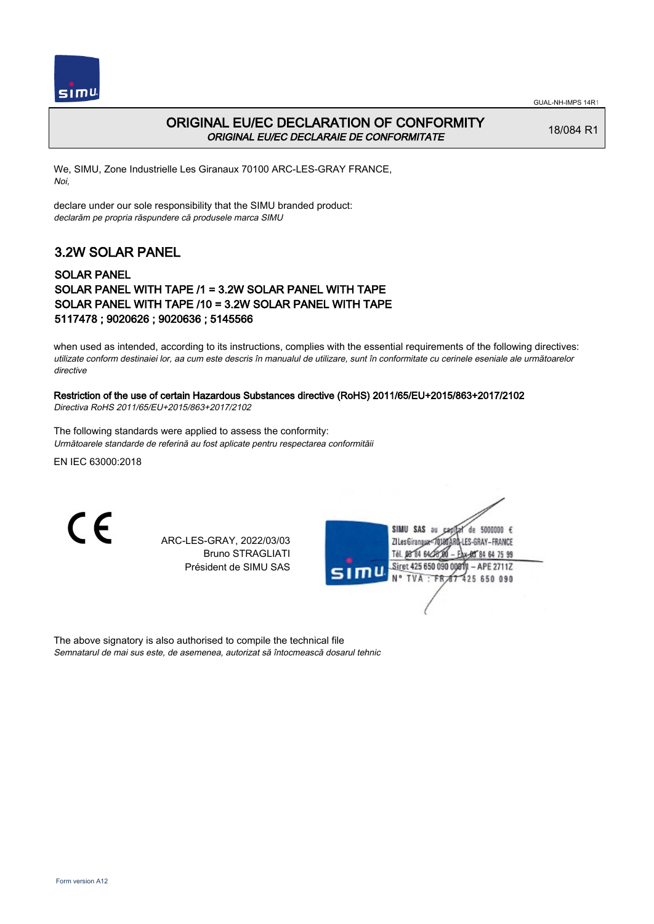



### ORIGINAL EU/EC DECLARATION OF CONFORMITY ORIGINAL EU/EC DECLARAIE DE CONFORMITATE

18/084 R1

We, SIMU, Zone Industrielle Les Giranaux 70100 ARC-LES-GRAY FRANCE, Noi,

declare under our sole responsibility that the SIMU branded product: declarăm pe propria răspundere că produsele marca SIMU

## 3.2W SOLAR PANEL

#### SOLAR PANEL SOLAR PANEL WITH TAPE /1 = 3.2W SOLAR PANEL WITH TAPE SOLAR PANEL WITH TAPE /10 = 3.2W SOLAR PANEL WITH TAPE 5117478 ; 9020626 ; 9020636 ; 5145566

when used as intended, according to its instructions, complies with the essential requirements of the following directives: utilizate conform destinaiei lor, aa cum este descris în manualul de utilizare, sunt în conformitate cu cerinele eseniale ale următoarelor directive

#### Restriction of the use of certain Hazardous Substances directive (RoHS) 2011/65/EU+2015/863+2017/2102

Directiva RoHS 2011/65/EU+2015/863+2017/2102

The following standards were applied to assess the conformity: Următoarele standarde de referină au fost aplicate pentru respectarea conformităii

EN IEC 63000:2018

CE

ARC-LES-GRAY, 2022/03/03 Bruno STRAGLIATI Président de SIMU SAS

| SIMU SAS<br>5000000 $\epsilon$<br>de<br>âu |
|--------------------------------------------|
| I-LES-GRAY-FRANCE<br>ZI Les Giranaux<      |
| Tél. 08 84 64 28 00<br>Eax-85 84 64 75 99  |
| Siret 425 650 090 00811 - APE 2711Z        |
| SIMU<br>N° TVA : FR 67 425 650 090         |
|                                            |
|                                            |
|                                            |

The above signatory is also authorised to compile the technical file Semnatarul de mai sus este, de asemenea, autorizat să întocmească dosarul tehnic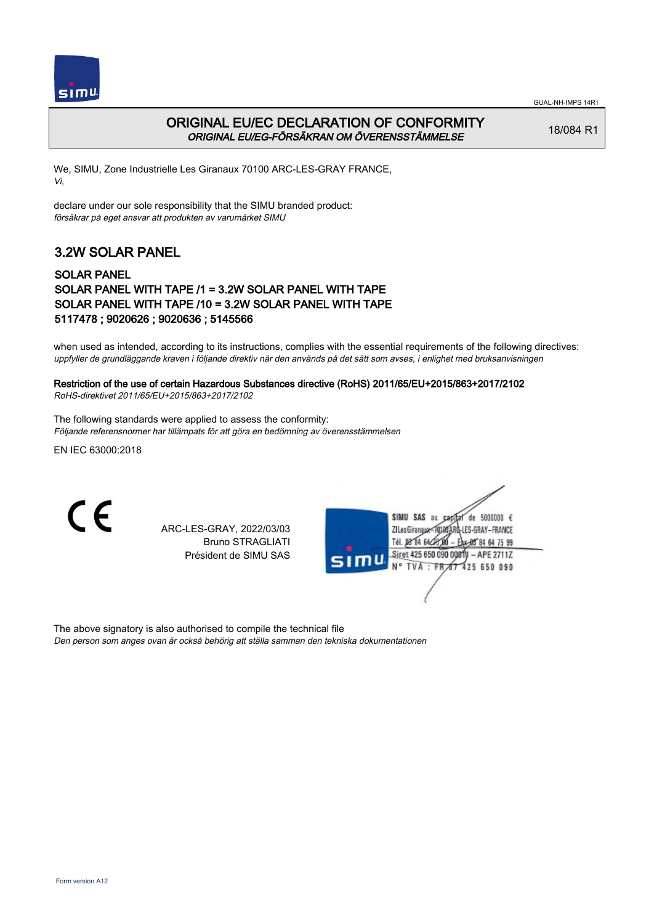

### ORIGINAL EU/EC DECLARATION OF CONFORMITY ORIGINAL EU/EG-FÖRSÄKRAN OM ÖVERENSSTÄMMELSE

18/084 R1

We, SIMU, Zone Industrielle Les Giranaux 70100 ARC-LES-GRAY FRANCE, Vi,

declare under our sole responsibility that the SIMU branded product: försäkrar på eget ansvar att produkten av varumärket SIMU

## 3.2W SOLAR PANEL

#### SOLAR PANEL SOLAR PANEL WITH TAPE /1 = 3.2W SOLAR PANEL WITH TAPE SOLAR PANEL WITH TAPE /10 = 3.2W SOLAR PANEL WITH TAPE 5117478 ; 9020626 ; 9020636 ; 5145566

when used as intended, according to its instructions, complies with the essential requirements of the following directives: uppfyller de grundläggande kraven i följande direktiv när den används på det sätt som avses, i enlighet med bruksanvisningen

### Restriction of the use of certain Hazardous Substances directive (RoHS) 2011/65/EU+2015/863+2017/2102

RoHS-direktivet 2011/65/EU+2015/863+2017/2102

The following standards were applied to assess the conformity: Följande referensnormer har tillämpats för att göra en bedömning av överensstämmelsen

EN IEC 63000:2018

C E

ARC-LES-GRAY, 2022/03/03 Bruno STRAGLIATI Président de SIMU SAS

|      | SIMU SAS<br>de 5000000 $\epsilon$<br>âu<br>Ca<br><b>A-LES-GRAY-FRANCE</b><br>ZI Les Giranaux-7<br>Tél. 08 84 64 CK<br>EAX-985 84 64 75 99 |
|------|-------------------------------------------------------------------------------------------------------------------------------------------|
| SIMU | Siret 425 650 090 00811 - APE 2711Z<br>N° TVA : FR 67 425 650 090                                                                         |
|      |                                                                                                                                           |

The above signatory is also authorised to compile the technical file Den person som anges ovan är också behörig att ställa samman den tekniska dokumentationen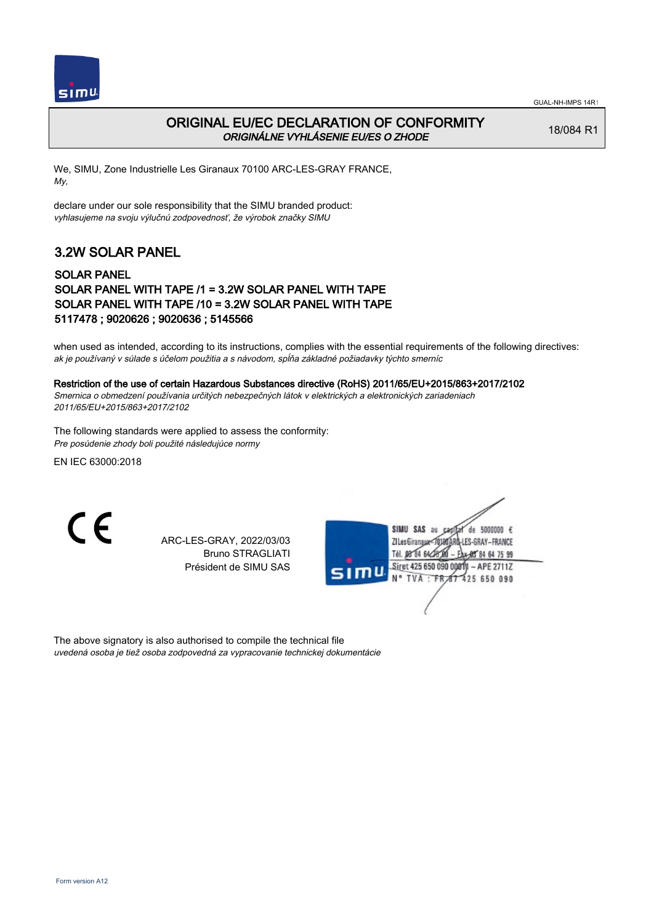

### ORIGINAL EU/EC DECLARATION OF CONFORMITY ORIGINÁLNE VYHLÁSENIE EU/ES O ZHODE

18/084 R1

We, SIMU, Zone Industrielle Les Giranaux 70100 ARC-LES-GRAY FRANCE, My,

declare under our sole responsibility that the SIMU branded product: vyhlasujeme na svoju výlučnú zodpovednosť, že výrobok značky SIMU

# 3.2W SOLAR PANEL

#### SOLAR PANEL SOLAR PANEL WITH TAPE /1 = 3.2W SOLAR PANEL WITH TAPE SOLAR PANEL WITH TAPE /10 = 3.2W SOLAR PANEL WITH TAPE 5117478 ; 9020626 ; 9020636 ; 5145566

when used as intended, according to its instructions, complies with the essential requirements of the following directives: ak je používaný v súlade s účelom použitia a s návodom, spĺňa základné požiadavky týchto smerníc

#### Restriction of the use of certain Hazardous Substances directive (RoHS) 2011/65/EU+2015/863+2017/2102

Smernica o obmedzení používania určitých nebezpečných látok v elektrických a elektronických zariadeniach 2011/65/EU+2015/863+2017/2102

The following standards were applied to assess the conformity: Pre posúdenie zhody boli použité následujúce normy

EN IEC 63000:2018

CE

ARC-LES-GRAY, 2022/03/03 Bruno STRAGLIATI Président de SIMU SAS

|      | SIMU SAS<br>de 5000000 $\epsilon$<br>âu<br>LES-GRAY-FRANCE<br><b>ZI Les Giranaux</b> |
|------|--------------------------------------------------------------------------------------|
| SIMU | Tél. 08 84 64<br>Eax-85 84 64 75 99<br>Siret 425 650 090 00011 - APE 2711Z           |
|      | N° TVA : FR 67 425 650 090                                                           |
|      |                                                                                      |

The above signatory is also authorised to compile the technical file uvedená osoba je tiež osoba zodpovedná za vypracovanie technickej dokumentácie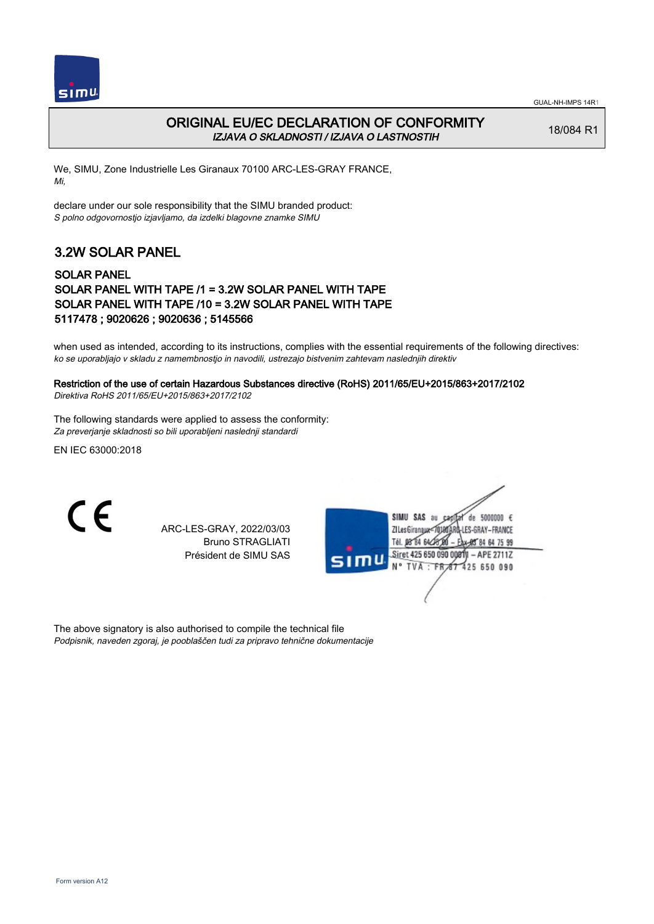



### ORIGINAL EU/EC DECLARATION OF CONFORMITY IZJAVA O SKLADNOSTI / IZJAVA O LASTNOSTIH

18/084 R1

We, SIMU, Zone Industrielle Les Giranaux 70100 ARC-LES-GRAY FRANCE, Mi,

declare under our sole responsibility that the SIMU branded product: S polno odgovornostjo izjavljamo, da izdelki blagovne znamke SIMU

# 3.2W SOLAR PANEL

#### SOLAR PANEL SOLAR PANEL WITH TAPE /1 = 3.2W SOLAR PANEL WITH TAPE SOLAR PANEL WITH TAPE /10 = 3.2W SOLAR PANEL WITH TAPE 5117478 ; 9020626 ; 9020636 ; 5145566

when used as intended, according to its instructions, complies with the essential requirements of the following directives: ko se uporabljajo v skladu z namembnostjo in navodili, ustrezajo bistvenim zahtevam naslednjih direktiv

### Restriction of the use of certain Hazardous Substances directive (RoHS) 2011/65/EU+2015/863+2017/2102

Direktiva RoHS 2011/65/EU+2015/863+2017/2102

The following standards were applied to assess the conformity: Za preverjanje skladnosti so bili uporabljeni naslednji standardi

EN IEC 63000:2018

 $\epsilon$ 

ARC-LES-GRAY, 2022/03/03 Bruno STRAGLIATI Président de SIMU SAS

|      | SIMU SAS<br>de 5000000 $\epsilon$<br>au<br>Cad |
|------|------------------------------------------------|
|      | <b>LES-GRAY-FRANCE</b><br>ZI Les Giranaux      |
|      | Tél. 08 84 64 28<br>Eax-95 84 64 75 99         |
|      | Siret 425 650 090 00811 - APE 2711Z            |
| SIMU | N° TVA : FR 67 425 650 090                     |
|      |                                                |
|      |                                                |
|      |                                                |

The above signatory is also authorised to compile the technical file Podpisnik, naveden zgoraj, je pooblaščen tudi za pripravo tehnične dokumentacije